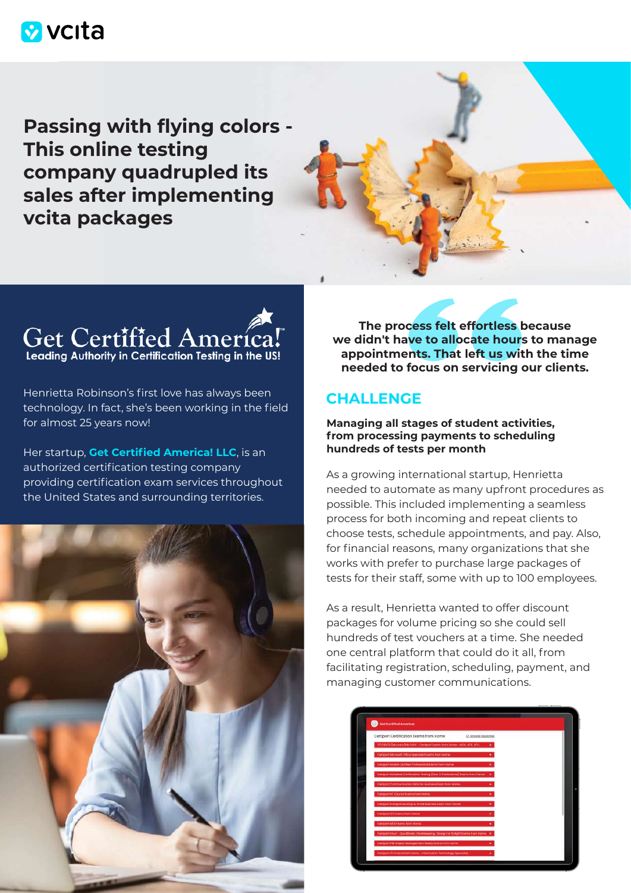# **M** vcita

**Passing with flying colors - This online testing company quadrupled its sales after implementing vcita packages**



Henrietta Robinson's first love has always been technology. In fact, she's been working in the field for almost 25 years now!

Her startup, **[Get Certified America! LLC](https://getcertifiedamerica.com/)**, is an authorized certification testing company providing certification exam services throughout the United States and surrounding territories.



**The process felt effortless because we didn't have to allocate hours to manage appointments. That left us with the time needed to focus on servicing our clients.**

# **CHALLENGE**

### **Managing all stages of student activities, from processing payments to scheduling hundreds of tests per month**

As a growing international startup, Henrietta needed to automate as many upfront procedures as possible. This included implementing a seamless process for both incoming and repeat clients to choose tests, schedule appointments, and pay. Also, for financial reasons, many organizations that she works with prefer to purchase large packages of tests for their staff, some with up to 100 employees.

As a result, Henrietta wanted to offer discount packages for volume pricing so she could sell hundreds of test vouchers at a time. She needed one central platform that could do it all, from facilitating registration, scheduling, payment, and managing customer communications.